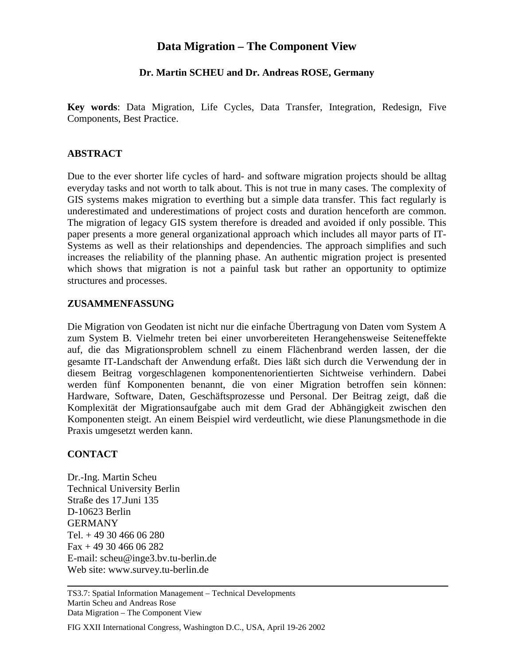# **Data Migration – The Component View**

## **Dr. Martin SCHEU and Dr. Andreas ROSE, Germany**

**Key words**: Data Migration, Life Cycles, Data Transfer, Integration, Redesign, Five Components, Best Practice.

#### **ABSTRACT**

Due to the ever shorter life cycles of hard- and software migration projects should be alltag everyday tasks and not worth to talk about. This is not true in many cases. The complexity of GIS systems makes migration to everthing but a simple data transfer. This fact regularly is underestimated and underestimations of project costs and duration henceforth are common. The migration of legacy GIS system therefore is dreaded and avoided if only possible. This paper presents a more general organizational approach which includes all mayor parts of IT-Systems as well as their relationships and dependencies. The approach simplifies and such increases the reliability of the planning phase. An authentic migration project is presented which shows that migration is not a painful task but rather an opportunity to optimize structures and processes.

#### **ZUSAMMENFASSUNG**

Die Migration von Geodaten ist nicht nur die einfache Übertragung von Daten vom System A zum System B. Vielmehr treten bei einer unvorbereiteten Herangehensweise Seiteneffekte auf, die das Migrationsproblem schnell zu einem Flächenbrand werden lassen, der die gesamte IT-Landschaft der Anwendung erfaßt. Dies läßt sich durch die Verwendung der in diesem Beitrag vorgeschlagenen komponentenorientierten Sichtweise verhindern. Dabei werden fünf Komponenten benannt, die von einer Migration betroffen sein können: Hardware, Software, Daten, Geschäftsprozesse und Personal. Der Beitrag zeigt, daß die Komplexität der Migrationsaufgabe auch mit dem Grad der Abhängigkeit zwischen den Komponenten steigt. An einem Beispiel wird verdeutlicht, wie diese Planungsmethode in die Praxis umgesetzt werden kann.

### **CONTACT**

Dr.-Ing. Martin Scheu Technical University Berlin Straße des 17.Juni 135 D-10623 Berlin GERMANY Tel. + 49 30 466 06 280  $Fax + 493046606282$ E-mail: scheu@inge3.bv.tu-berlin.de Web site: www.survey.tu-berlin.de

TS3.7: Spatial Information Management – Technical Developments Martin Scheu and Andreas Rose Data Migration – The Component View